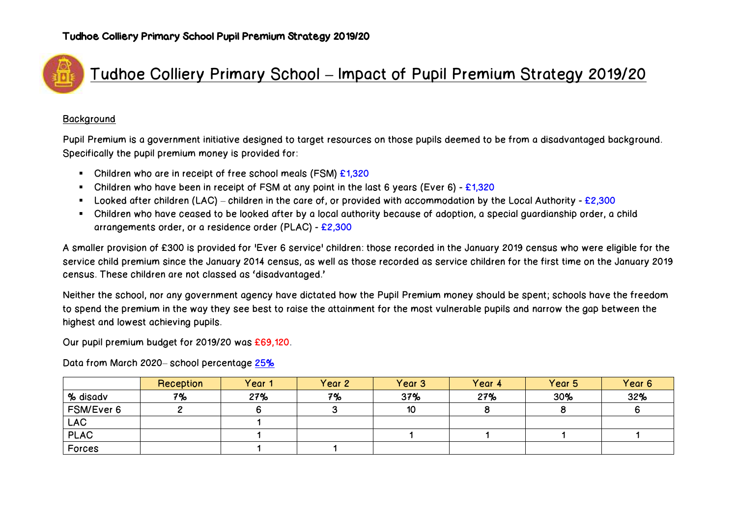

# Tudhoe Colliery Primary School **–** Impact of Pupil Premium Strategy 2019/20

### **Background**

Pupil Premium is a government initiative designed to target resources on those pupils deemed to be from a disadvantaged background. Specifically the pupil premium money is provided for:

- Children who are in receipt of free school meals (FSM) £1,320
- Children who have been in receipt of FSM at any point in the last 6 years (Ever 6) £1,320
- **-** Looked after children (LAC) children in the care of, or provided with accommodation by the Local Authority £2,300
- Children who have ceased to be looked after by a local authority because of adoption, a special guardianship order, a child arrangements order, or a residence order (PLAC) - £2,300

A smaller provision of £300 is provided for 'Ever 6 service' children: those recorded in the January 2019 census who were eligible for the service child premium since the January 2014 census, as well as those recorded as service children for the first time on the January 2019 census. These children are not classed as 'disadvantaged.'

Neither the school, nor any government agency have dictated how the Pupil Premium money should be spent; schools have the freedom to spend the premium in the way they see best to raise the attainment for the most vulnerable pupils and narrow the gap between the highest and lowest achieving pupils.

Our pupil premium budget for 2019/20 was £69,120.

Data from March 2020– school percentage 25%

|             | Reception | Year 1 | Year 2 | Year <sub>3</sub> | Year 4 | Year 5 | Year 6 |
|-------------|-----------|--------|--------|-------------------|--------|--------|--------|
| % disadv    | 7%        | 27%    | 7%     | 37%               | 27%    | 30%    | 32%    |
| FSM/Ever 6  |           |        |        | 10                |        |        |        |
| <b>LAC</b>  |           |        |        |                   |        |        |        |
| <b>PLAC</b> |           |        |        |                   |        |        |        |
| Forces      |           |        |        |                   |        |        |        |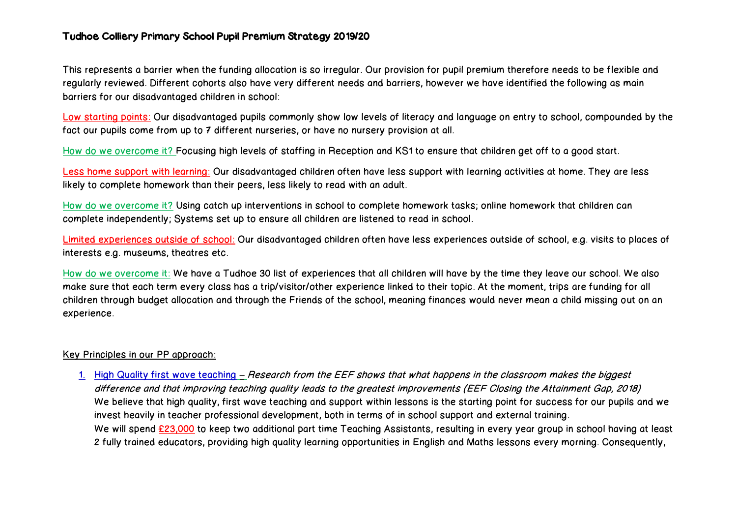### Tudhoe Colliery Primary School Pupil Premium Strategy 2019/20

This represents a barrier when the funding allocation is so irregular. Our provision for pupil premium therefore needs to be flexible and regularly reviewed. Different cohorts also have very different needs and barriers, however we have identified the following as main barriers for our disadvantaged children in school:

Low starting points: Our disadvantaged pupils commonly show low levels of literacy and language on entry to school, compounded by the fact our pupils come from up to 7 different nurseries, or have no nursery provision at all.

How do we overcome it? Focusing high levels of staffing in Reception and KS1 to ensure that children get off to a good start.

Less home support with learning: Our disadvantaged children often have less support with learning activities at home. They are less likely to complete homework than their peers, less likely to read with an adult.

How do we overcome it? Using catch up interventions in school to complete homework tasks; online homework that children can complete independently; Systems set up to ensure all children are listened to read in school.

Limited experiences outside of school: Our disadvantaged children often have less experiences outside of school, e.g. visits to places of interests e.g. museums, theatres etc.

How do we overcome it: We have a Tudhoe 30 list of experiences that all children will have by the time they leave our school. We also make sure that each term every class has a trip/visitor/other experience linked to their topic. At the moment, trips are funding for all children through budget allocation and through the Friends of the school, meaning finances would never mean a child missing out on an experience.

#### Key Principles in our PP approach:

1. High Quality first wave teaching **–** Research from the EEF shows that what happens in the classroom makes the biggest difference and that improving teaching quality leads to the greatest improvements (EEF Closing the Attainment Gap, 2018) We believe that high quality, first wave teaching and support within lessons is the starting point for success for our pupils and we invest heavily in teacher professional development, both in terms of in school support and external training. We will spend £23,000 to keep two additional part time Teaching Assistants, resulting in every year group in school having at least 2 fully trained educators, providing high quality learning opportunities in English and Maths lessons every morning. Consequently,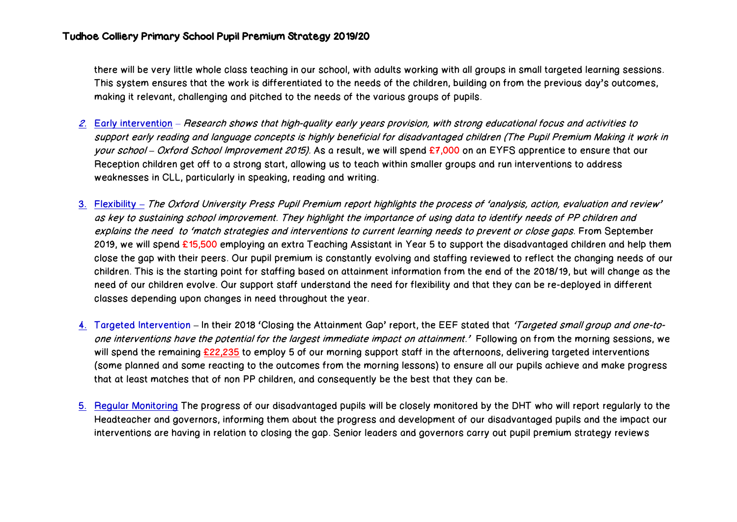there will be very little whole class teaching in our school, with adults working with all groups in small targeted learning sessions. This system ensures that the work is differentiated to the needs of the children, building on from the previous day's outcomes, making it relevant, challenging and pitched to the needs of the various groups of pupils.

- 2. Early intervention Research shows that high-quality early years provision, with strong educational focus and activities to support early reading and language concepts is highly beneficial for disadvantaged children (The Pupil Premium Making it work in your school – Oxford School Improvement 2015). As a result, we will spend £7,000 on an EYFS apprentice to ensure that our Reception children get off to a strong start, allowing us to teach within smaller groups and run interventions to address weaknesses in CLL, particularly in speaking, reading and writing.
- 3. Flexibility **–** The Oxford University Press Pupil Premium report highlights the process of 'analysis, action, evaluation and review' as key to sustaining school improvement. They highlight the importance of using data to identify needs of PP children and explains the need to 'match strategies and interventions to current learning needs to prevent or close gaps. From September 2019, we will spend £15,500 employing an extra Teaching Assistant in Year 5 to support the disadvantaged children and help them close the gap with their peers. Our pupil premium is constantly evolving and staffing reviewed to reflect the changing needs of our children. This is the starting point for staffing based on attainment information from the end of the 2018/19, but will change as the need of our children evolve. Our support staff understand the need for flexibility and that they can be re-deployed in different classes depending upon changes in need throughout the year.
- 4. Targeted Intervention **–** In their 2018 'Closing the Attainment Gap' report, the EEF stated that 'Targeted small group and one-toone interventions have the potential for the largest immediate impact on attainment.' Following on from the morning sessions, we will spend the remaining £22,235 to employ 5 of our morning support staff in the afternoons, delivering targeted interventions (some planned and some reacting to the outcomes from the morning lessons) to ensure all our pupils achieve and make progress that at least matches that of non PP children, and consequently be the best that they can be.
- 5. Regular Monitoring The progress of our disadvantaged pupils will be closely monitored by the DHT who will report regularly to the Headteacher and governors, informing them about the progress and development of our disadvantaged pupils and the impact our interventions are having in relation to closing the gap. Senior leaders and governors carry out pupil premium strategy reviews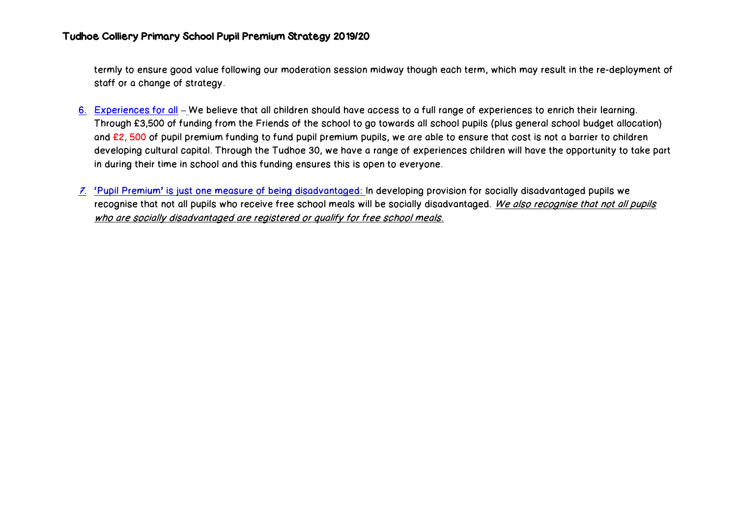termly to ensure good value following our moderation session midway though each term, which may result in the re-deployment of staff or a change of strategy.

- 6. Experiences for all **–** We believe that all children should have access to a full range of experiences to enrich their learning. Through £3,500 of funding from the Friends of the school to go towards all school pupils (plus general school budget allocation) and £2, 500 of pupil premium funding to fund pupil premium pupils, we are able to ensure that cost is not a barrier to children developing cultural capital. Through the Tudhoe 30, we have a range of experiences children will have the opportunity to take part in during their time in school and this funding ensures this is open to everyone.
- 7. 'Pupil Premium' is just one measure of being disadvantaged: In developing provision for socially disadvantaged pupils we recognise that not all pupils who receive free school meals will be socially disadvantaged. We also recognise that not all pupils who are socially disadvantaged are registered or qualify for free school meals.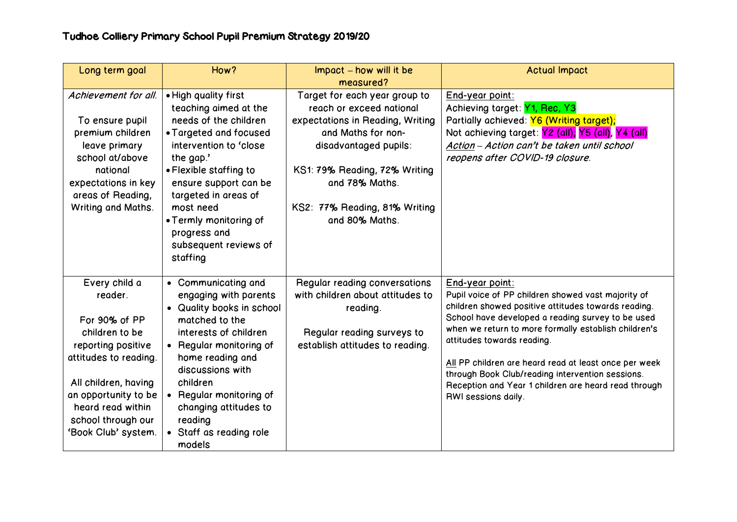| Long term goal                                                                                                                                                                                                               | How?                                                                                                                                                                                                                                                                                                           | Impact – how will it be                                                                                                                                                                                                                            | <b>Actual Impact</b>                                                                                                                                                                                                                                                                                                                                                                                                                                                |
|------------------------------------------------------------------------------------------------------------------------------------------------------------------------------------------------------------------------------|----------------------------------------------------------------------------------------------------------------------------------------------------------------------------------------------------------------------------------------------------------------------------------------------------------------|----------------------------------------------------------------------------------------------------------------------------------------------------------------------------------------------------------------------------------------------------|---------------------------------------------------------------------------------------------------------------------------------------------------------------------------------------------------------------------------------------------------------------------------------------------------------------------------------------------------------------------------------------------------------------------------------------------------------------------|
|                                                                                                                                                                                                                              |                                                                                                                                                                                                                                                                                                                | measured?                                                                                                                                                                                                                                          |                                                                                                                                                                                                                                                                                                                                                                                                                                                                     |
| Achievement for all.<br>To ensure pupil<br>premium children<br>leave primary<br>school at/above<br>national<br>expectations in key<br>areas of Reading,<br>Writing and Maths.                                                | . High quality first<br>teaching aimed at the<br>needs of the children<br>• Targeted and focused<br>intervention to 'close<br>the gap.'<br>• Flexible staffing to<br>ensure support can be<br>targeted in areas of<br>most need<br>• Termly monitoring of<br>progress and<br>subsequent reviews of<br>staffing | Target for each year group to<br>reach or exceed national<br>expectations in Reading, Writing<br>and Maths for non-<br>disadvantaged pupils:<br>KS1: 79% Reading, 72% Writing<br>and 78% Maths.<br>KS2: 77% Reading, 81% Writing<br>and 80% Maths. | End-year point:<br>Achieving target: Y1, Rec, Y3<br>Partially achieved: Y6 (Writing target);<br>Not achieving target: Y2 (all); Y5 (all), Y4 (all)<br>Action - Action can't be taken until school<br>reopens after COVID-19 closure.                                                                                                                                                                                                                                |
| Every child a<br>reader.<br>For 90% of PP<br>children to be<br>reporting positive<br>attitudes to reading.<br>All children, having<br>an opportunity to be<br>heard read within<br>school through our<br>'Book Club' system. | • Communicating and<br>engaging with parents<br>• Quality books in school<br>matched to the<br>interests of children<br>• Regular monitoring of<br>home reading and<br>discussions with<br>children<br>• Regular monitoring of<br>changing attitudes to<br>reading<br>• Staff as reading role<br>models        | Regular reading conversations<br>with children about attitudes to<br>reading.<br>Regular reading surveys to<br>establish attitudes to reading.                                                                                                     | End-year point:<br>Pupil voice of PP children showed vast majority of<br>children showed positive attitudes towards reading.<br>School have developed a reading survey to be used<br>when we return to more formally establish children's<br>attitudes towards reading.<br>All PP children are heard read at least once per week<br>through Book Club/reading intervention sessions.<br>Reception and Year 1 children are heard read through<br>RWI sessions daily. |